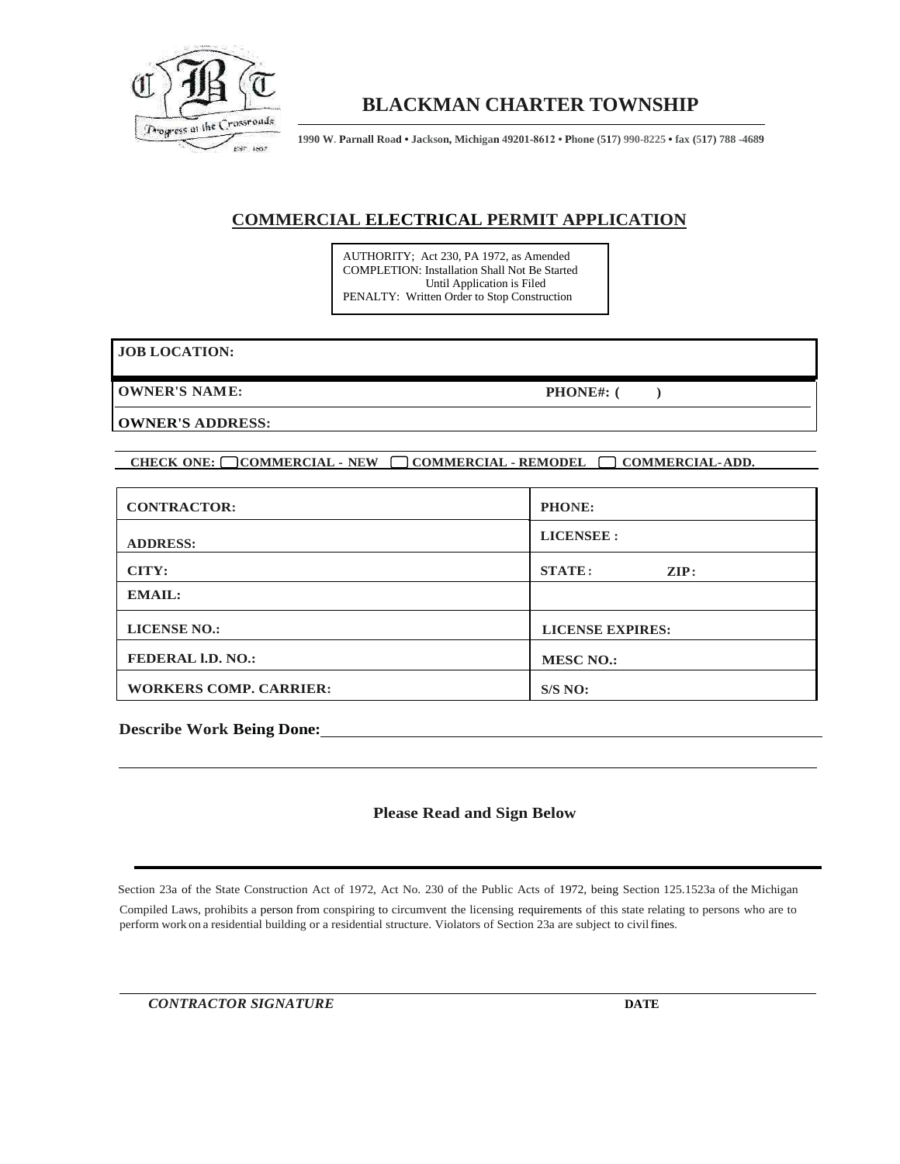

## **BLACKMAN CHARTER TOWNSHIP**

**1990 W. Parnall Road • Jackson, Michigan 49201-8612 • Phone (517) 990-8225 • fax (517) 788 -4689**

### **COMMERCIAL ELECTRICAL PERMIT APPLICATION**

AUTHORITY; Act 230, PA 1972, as Amended COMPLETION: Installation Shall Not Be Started Until Application is Filed PENALTY: Written Order to Stop Construction

#### **JOB LOCATION:**

**OWNER'S NAME: PHONE#: ( )**

**OWNER'S ADDRESS:**

**CHECK ONE: COMMERCIAL - NEW COMMERCIAL - REMODEL COMMERCIAL-ADD.**

| <b>CONTRACTOR:</b>            | <b>PHONE:</b>                     |  |  |
|-------------------------------|-----------------------------------|--|--|
| <b>ADDRESS:</b>               | <b>LICENSEE:</b>                  |  |  |
| CITY:                         | <b>STATE:</b><br>$\mathbf{ZIP}$ : |  |  |
| <b>EMAIL:</b>                 |                                   |  |  |
| <b>LICENSE NO.:</b>           | <b>LICENSE EXPIRES:</b>           |  |  |
| <b>FEDERAL I.D. NO.:</b>      | <b>MESC NO.:</b>                  |  |  |
| <b>WORKERS COMP. CARRIER:</b> | S/S NO:                           |  |  |

**Describe Work Being Done:**

#### **Please Read and Sign Below**

Section 23a of the State Construction Act of 1972, Act No. 230 of the Public Acts of 1972, being Section 125.1523a of the Michigan

Compiled Laws, prohibits a person from conspiring to circumvent the licensing requirements of this state relating to persons who are to perform work on a residential building or a residential structure. Violators of Section 23a are subject to civil fines.

*CONTRACTOR SIGNATURE* **DATE**